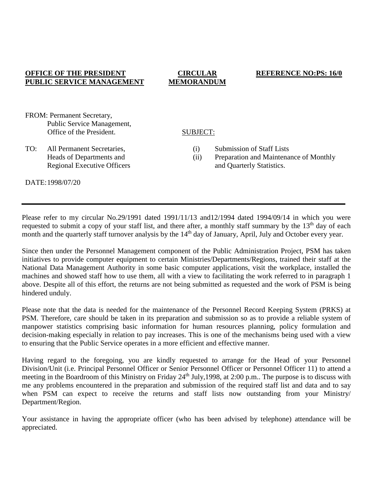## **OFFICE OF THE PRESIDENT PUBLIC SERVICE MANAGEMENT**

#### **CIRCULAR MEMORANDUM**

### **REFERENCE NO:PS: 16/0**

- FROM: Permanent Secretary, Public Service Management, Office of the President.
- TO: All Permanent Secretaries, Heads of Departments and Regional Executive Officers

## SUBJECT:

- (i) Submission of Staff Lists
- (ii) Preparation and Maintenance of Monthly and Quarterly Statistics.

DATE:1998/07/20

Please refer to my circular No.29/1991 dated 1991/11/13 and12/1994 dated 1994/09/14 in which you were requested to submit a copy of your staff list, and there after, a monthly staff summary by the 13<sup>th</sup> day of each month and the quarterly staff turnover analysis by the 14<sup>th</sup> day of January, April, July and October every year.

Since then under the Personnel Management component of the Public Administration Project, PSM has taken initiatives to provide computer equipment to certain Ministries/Departments/Regions, trained their staff at the National Data Management Authority in some basic computer applications, visit the workplace, installed the machines and showed staff how to use them, all with a view to facilitating the work referred to in paragraph 1 above. Despite all of this effort, the returns are not being submitted as requested and the work of PSM is being hindered unduly.

Please note that the data is needed for the maintenance of the Personnel Record Keeping System (PRKS) at PSM. Therefore, care should be taken in its preparation and submission so as to provide a reliable system of manpower statistics comprising basic information for human resources planning, policy formulation and decision-making especially in relation to pay increases. This is one of the mechanisms being used with a view to ensuring that the Public Service operates in a more efficient and effective manner.

Having regard to the foregoing, you are kindly requested to arrange for the Head of your Personnel Division/Unit (i.e. Principal Personnel Officer or Senior Personnel Officer or Personnel Officer 11) to attend a meeting in the Boardroom of this Ministry on Friday 24<sup>th</sup> July,1998, at 2:00 p.m.. The purpose is to discuss with me any problems encountered in the preparation and submission of the required staff list and data and to say when PSM can expect to receive the returns and staff lists now outstanding from your Ministry/ Department/Region.

Your assistance in having the appropriate officer (who has been advised by telephone) attendance will be appreciated.